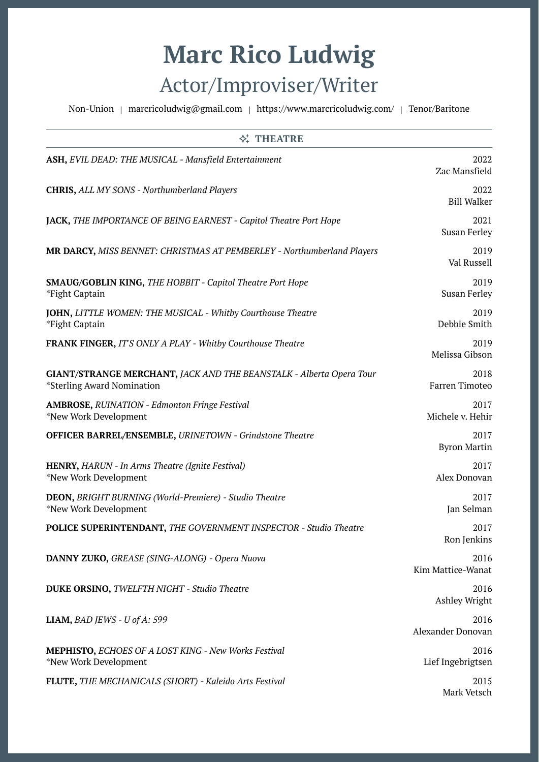## **Marc Rico Ludwig** Actor/Improviser/Writer

Non-Union | [marcricoludwig@gmail.com](mailto:marcricoludwig@gmail.com) | https://www.marcricoludwig.com/ | Tenor/Baritone

| <b>N</b> THEATRE                                                                                  |                             |
|---------------------------------------------------------------------------------------------------|-----------------------------|
| ASH, EVIL DEAD: THE MUSICAL - Mansfield Entertainment                                             | 2022<br>Zac Mansfield       |
| <b>CHRIS, ALL MY SONS - Northumberland Players</b>                                                | 2022<br><b>Bill Walker</b>  |
| JACK, THE IMPORTANCE OF BEING EARNEST - Capitol Theatre Port Hope                                 | 2021<br><b>Susan Ferley</b> |
| <b>MR DARCY, MISS BENNET: CHRISTMAS AT PEMBERLEY - Northumberland Players</b>                     | 2019<br>Val Russell         |
| SMAUG/GOBLIN KING, THE HOBBIT - Capitol Theatre Port Hope<br>*Fight Captain                       | 2019<br><b>Susan Ferley</b> |
| <b>JOHN, LITTLE WOMEN: THE MUSICAL - Whitby Courthouse Theatre</b><br>*Fight Captain              | 2019<br>Debbie Smith        |
| <b>FRANK FINGER, IT'S ONLY A PLAY - Whitby Courthouse Theatre</b>                                 | 2019<br>Melissa Gibson      |
| GIANT/STRANGE MERCHANT, JACK AND THE BEANSTALK - Alberta Opera Tour<br>*Sterling Award Nomination | 2018<br>Farren Timoteo      |
| <b>AMBROSE, RUINATION - Edmonton Fringe Festival</b><br>*New Work Development                     | 2017<br>Michele v. Hehir    |
| <b>OFFICER BARREL/ENSEMBLE, URINETOWN - Grindstone Theatre</b>                                    | 2017<br><b>Byron Martin</b> |
| HENRY, HARUN - In Arms Theatre (Ignite Festival)<br>*New Work Development                         | 2017<br>Alex Donovan        |
| <b>DEON, BRIGHT BURNING (World-Premiere) - Studio Theatre</b><br>*New Work Development            | 2017<br>Jan Selman          |
| <b>POLICE SUPERINTENDANT, THE GOVERNMENT INSPECTOR - Studio Theatre</b>                           | 2017<br>Ron Jenkins         |
| DANNY ZUKO, GREASE (SING-ALONG) - Opera Nuova                                                     | 2016<br>Kim Mattice-Wanat   |
| <b>DUKE ORSINO, TWELFTH NIGHT - Studio Theatre</b>                                                | 2016<br>Ashley Wright       |
| LIAM, BAD JEWS - U of A: 599                                                                      | 2016<br>Alexander Donovan   |
| <b>MEPHISTO, ECHOES OF A LOST KING - New Works Festival</b><br>*New Work Development              | 2016<br>Lief Ingebrigtsen   |
| FLUTE, THE MECHANICALS (SHORT) - Kaleido Arts Festival                                            | 2015<br>Mark Vetsch         |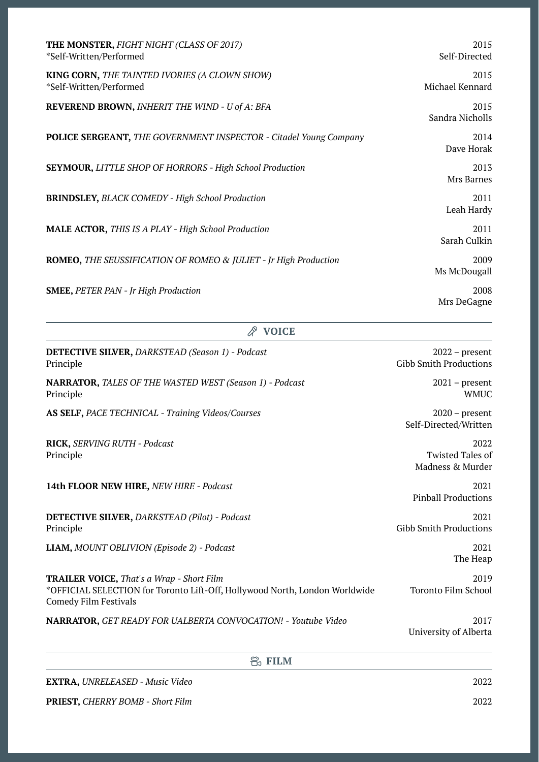| THE MONSTER, FIGHT NIGHT (CLASS OF 2017)<br>*Self-Written/Performed      | 2015<br>Self-Directed   |
|--------------------------------------------------------------------------|-------------------------|
| KING CORN, THE TAINTED IVORIES (A CLOWN SHOW)<br>*Self-Written/Performed | 2015<br>Michael Kennard |
| REVEREND BROWN, INHERIT THE WIND - U of A: BFA                           | 2015<br>Sandra Nicholls |
| <b>POLICE SERGEANT, THE GOVERNMENT INSPECTOR - Citadel Young Company</b> | 2014<br>Dave Horak      |
| <b>SEYMOUR, LITTLE SHOP OF HORRORS - High School Production</b>          | 2013<br>Mrs Barnes      |
| <b>BRINDSLEY, BLACK COMEDY - High School Production</b>                  | 2011<br>Leah Hardy      |
| <b>MALE ACTOR, THIS IS A PLAY - High School Production</b>               | 2011<br>Sarah Culkin    |
| ROMEO, THE SEUSSIFICATION OF ROMEO & JULIET - Jr High Production         | 2009<br>Ms McDougall    |
| <b>SMEE, PETER PAN - Jr High Production</b>                              | 2008<br>Mrs DeGagne     |

|  | w<br>٧ |
|--|--------|
|--|--------|

| <b>DETECTIVE SILVER, DARKSTEAD (Season 1) - Podcast</b><br>Principle                                                                                            | $2022$ – present<br><b>Gibb Smith Productions</b>   |
|-----------------------------------------------------------------------------------------------------------------------------------------------------------------|-----------------------------------------------------|
| <b>NARRATOR, TALES OF THE WASTED WEST (Season 1) - Podcast</b><br>Principle                                                                                     | $2021$ – present<br><b>WMUC</b>                     |
| AS SELF, PACE TECHNICAL - Training Videos/Courses                                                                                                               | $2020$ – present<br>Self-Directed/Written           |
| RICK, SERVING RUTH - Podcast<br>Principle                                                                                                                       | 2022<br><b>Twisted Tales of</b><br>Madness & Murder |
| 14th FLOOR NEW HIRE, NEW HIRE - Podcast                                                                                                                         | 2021<br><b>Pinball Productions</b>                  |
| <b>DETECTIVE SILVER, DARKSTEAD (Pilot) - Podcast</b><br>Principle                                                                                               | 2021<br><b>Gibb Smith Productions</b>               |
| LIAM, MOUNT OBLIVION (Episode 2) - Podcast                                                                                                                      | 2021<br>The Heap                                    |
| <b>TRAILER VOICE, That's a Wrap - Short Film</b><br>*OFFICIAL SELECTION for Toronto Lift-Off, Hollywood North, London Worldwide<br><b>Comedy Film Festivals</b> | 2019<br><b>Toronto Film School</b>                  |
| NARRATOR, GET READY FOR UALBERTA CONVOCATION! - Youtube Video                                                                                                   | 2017<br>University of Alberta                       |
| e, FILM                                                                                                                                                         |                                                     |

**EXTRA,** *UNRELEASED - Music Video* 2022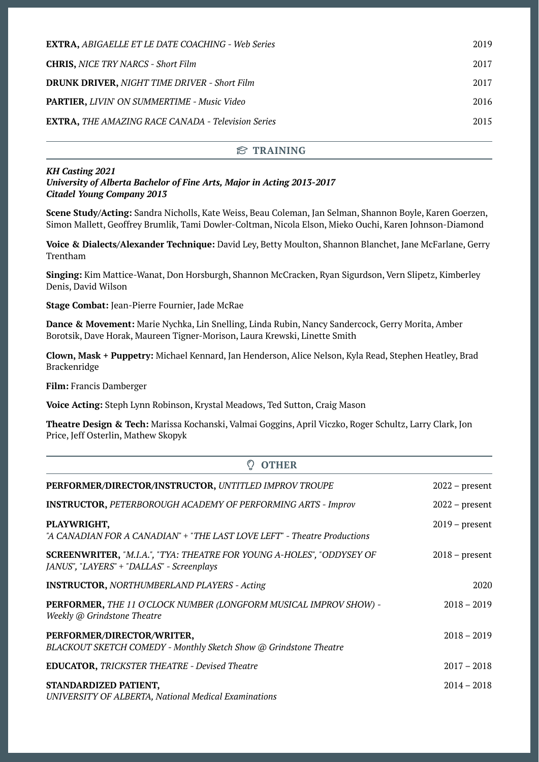| <b>EXTRA, ABIGAELLE ET LE DATE COACHING - Web Series</b>  | 2019 |
|-----------------------------------------------------------|------|
| <b>CHRIS, NICE TRY NARCS - Short Film</b>                 | 2017 |
| <b>DRUNK DRIVER, NIGHT TIME DRIVER - Short Film</b>       | 2017 |
| <b>PARTIER, LIVIN' ON SUMMERTIME - Music Video</b>        | 2016 |
| <b>EXTRA, THE AMAZING RACE CANADA - Television Series</b> | 2015 |

## **TRAINING**

## *KH Casting 2021 University of Alberta Bachelor of Fine Arts, Major in Acting 2013-2017 Citadel Young Company 2013*

**Scene Study/Acting:** Sandra Nicholls, Kate Weiss, Beau Coleman, Jan Selman, Shannon Boyle, Karen Goerzen, Simon Mallett, Geoffrey Brumlik, Tami Dowler-Coltman, Nicola Elson, Mieko Ouchi, Karen Johnson-Diamond

**Voice & Dialects/Alexander Technique:** David Ley, Betty Moulton, Shannon Blanchet, Jane McFarlane, Gerry Trentham

**Singing:** Kim Mattice-Wanat, Don Horsburgh, Shannon McCracken, Ryan Sigurdson, Vern Slipetz, Kimberley Denis, David Wilson

**Stage Combat:** Jean-Pierre Fournier, Jade McRae

**Dance & Movement:** Marie Nychka, Lin Snelling, Linda Rubin, Nancy Sandercock, Gerry Morita, Amber Borotsik, Dave Horak, Maureen Tigner-Morison, Laura Krewski, Linette Smith

**Clown, Mask + Puppetry:** Michael Kennard, Jan Henderson, Alice Nelson, Kyla Read, Stephen Heatley, Brad Brackenridge

**Film:** Francis Damberger

**Voice Acting:** Steph Lynn Robinson, Krystal Meadows, Ted Sutton, Craig Mason

**Theatre Design & Tech:** Marissa Kochanski, Valmai Goggins, April Viczko, Roger Schultz, Larry Clark, Jon Price, Jeff Osterlin, Mathew Skopyk

| <b>OTHER</b>                                                                                                              |                  |
|---------------------------------------------------------------------------------------------------------------------------|------------------|
| PERFORMER/DIRECTOR/INSTRUCTOR, UNTITLED IMPROV TROUPE                                                                     | $2022$ – present |
| <b>INSTRUCTOR, PETERBOROUGH ACADEMY OF PERFORMING ARTS - Improv</b>                                                       | $2022$ – present |
| PLAYWRIGHT,<br>"A CANADIAN FOR A CANADIAN" + "THE LAST LOVE LEFT" - Theatre Productions                                   | $2019$ – present |
| <b>SCREENWRITER, "M.I.A.", "TYA: THEATRE FOR YOUNG A-HOLES", "ODDYSEY OF</b><br>JANUS", "LAYERS" + "DALLAS" - Screenplays | $2018$ – present |
| <b>INSTRUCTOR, NORTHUMBERLAND PLAYERS - Acting</b>                                                                        | 2020             |
| PERFORMER, THE 11 O'CLOCK NUMBER (LONGFORM MUSICAL IMPROV SHOW) -<br>Weekly @ Grindstone Theatre                          | $2018 - 2019$    |
| PERFORMER/DIRECTOR/WRITER,<br>BLACKOUT SKETCH COMEDY - Monthly Sketch Show @ Grindstone Theatre                           | $2018 - 2019$    |
| <b>EDUCATOR, TRICKSTER THEATRE - Devised Theatre</b>                                                                      | $2017 - 2018$    |
| STANDARDIZED PATIENT,<br><b>UNIVERSITY OF ALBERTA, National Medical Examinations</b>                                      | $2014 - 2018$    |